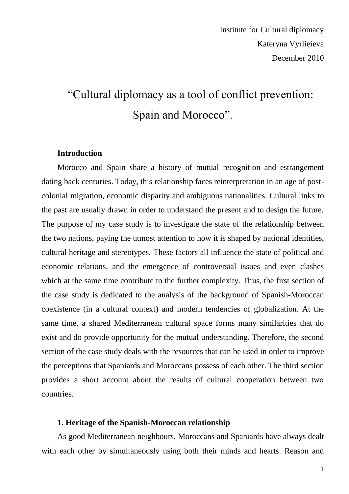# "Cultural diplomacy as a tool of conflict prevention: Spain and Morocco".

### **Introduction**

Morocco and Spain share a history of mutual recognition and estrangement dating back centuries. Today, this relationship faces reinterpretation in an age of postcolonial migration, economic disparity and ambiguous nationalities. Cultural links to the past are usually drawn in order to understand the present and to design the future. The purpose of my case study is to investigate the state of the relationship between the two nations, paying the utmost attention to how it is shaped by national identities, cultural heritage and stereotypes. These factors all influence the state of political and economic relations, and the emergence of controversial issues and even clashes which at the same time contribute to the further complexity. Thus, the first section of the case study is dedicated to the analysis of the background of Spanish-Moroccan coexistence (in a cultural context) and modern tendencies of globalization. At the same time, a shared Mediterranean cultural space forms many similarities that do exist and do provide opportunity for the mutual understanding. Therefore, the second section of the case study deals with the resources that can be used in order to improve the perceptions that Spaniards and Moroccans possess of each other. The third section provides a short account about the results of cultural cooperation between two countries.

### **1. Heritage of the Spanish-Moroccan relationship**

As good Mediterranean neighbours, Moroccans and Spaniards have always dealt with each other by simultaneously using both their minds and hearts. Reason and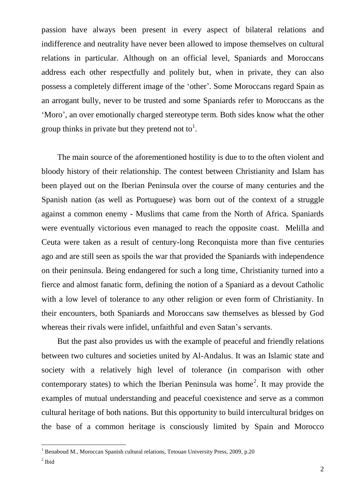passion have always been present in every aspect of bilateral relations and indifference and neutrality have never been allowed to impose themselves on cultural relations in particular. Although on an official level, Spaniards and Moroccans address each other respectfully and politely but, when in private, they can also possess a completely different image of the "other". Some Moroccans regard Spain as an arrogant bully, never to be trusted and some Spaniards refer to Moroccans as the "Moro", an over emotionally charged stereotype term. Both sides know what the other group thinks in private but they pretend not to<sup>1</sup>.

The main source of the aforementioned hostility is due to to the often violent and bloody history of their relationship. The contest between Christianity and Islam has been played out on the Iberian Peninsula over the course of many centuries and the Spanish nation (as well as Portuguese) was born out of the context of a struggle against a common enemy - Muslims that came from the North of Africa. Spaniards were eventually victorious even managed to reach the opposite coast. Melilla and Ceuta were taken as a result of century-long Reconquista more than five centuries ago and are still seen as spoils the war that provided the Spaniards with independence on their peninsula. Being endangered for such a long time, Christianity turned into a fierce and almost fanatic form, defining the notion of a Spaniard as a devout Catholic with a low level of tolerance to any other religion or even form of Christianity. In their encounters, both Spaniards and Moroccans saw themselves as blessed by God whereas their rivals were infidel, unfaithful and even Satan's servants.

But the past also provides us with the example of peaceful and friendly relations between two cultures and societies united by Al-Andalus. It was an Islamic state and society with a relatively high level of tolerance (in comparison with other contemporary states) to which the Iberian Peninsula was home<sup>2</sup>. It may provide the examples of mutual understanding and peaceful coexistence and serve as a common cultural heritage of both nations. But this opportunity to build intercultural bridges on the base of a common heritage is consciously limited by Spain and Morocco

1

 $1$  Benaboud M., Moroccan Spanish cultural relations, Tetouan University Press, 2009, p.20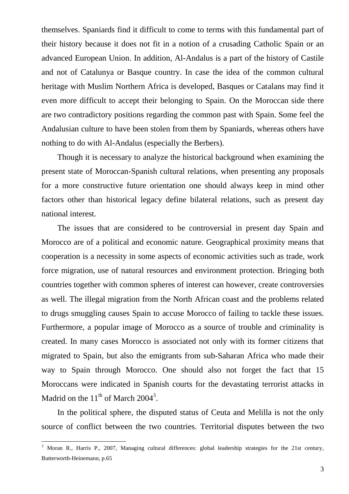themselves. Spaniards find it difficult to come to terms with this fundamental part of their history because it does not fit in a notion of a crusading Catholic Spain or an advanced European Union. In addition, Al-Andalus is a part of the history of Castile and not of Catalunya or Basque country. In case the idea of the common cultural heritage with Muslim Northern Africa is developed, Basques or Catalans may find it even more difficult to accept their belonging to Spain. On the Moroccan side there are two contradictory positions regarding the common past with Spain. Some feel the Andalusian culture to have been stolen from them by Spaniards, whereas others have nothing to do with Al-Andalus (especially the Berbers).

Though it is necessary to analyze the historical background when examining the present state of Moroccan-Spanish cultural relations, when presenting any proposals for a more constructive future orientation one should always keep in mind other factors other than historical legacy define bilateral relations, such as present day national interest.

The issues that are considered to be controversial in present day Spain and Morocco are of a political and economic nature. Geographical proximity means that cooperation is a necessity in some aspects of economic activities such as trade, work force migration, use of natural resources and environment protection. Bringing both countries together with common spheres of interest can however, create controversies as well. The illegal migration from the North African coast and the problems related to drugs smuggling causes Spain to accuse Morocco of failing to tackle these issues. Furthermore, a popular image of Morocco as a source of trouble and criminality is created. In many cases Morocco is associated not only with its former citizens that migrated to Spain, but also the emigrants from sub-Saharan Africa who made their way to Spain through Morocco. One should also not forget the fact that 15 Moroccans were indicated in Spanish courts for the devastating terrorist attacks in Madrid on the  $11<sup>th</sup>$  of March 2004<sup>3</sup>.

In the political sphere, the disputed status of Ceuta and Melilla is not the only source of conflict between the two countries. Territorial disputes between the two

<u>.</u>

<sup>3</sup> Moran R., Harris P., 2007, Managing cultural differences: global leadership strategies for the 21st century, Butterworth-Heinemann, p.65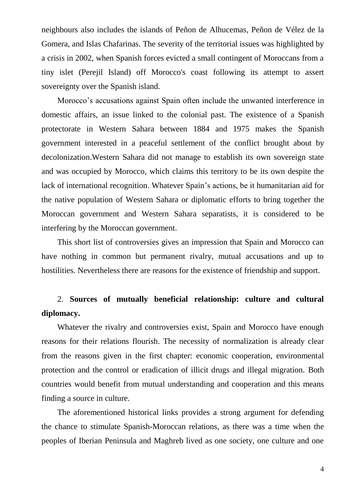neighbours also includes the islands of [Peñon de Alhucemas,](http://en.wikipedia.org/wiki/Penon_de_Alhucemas) [Peñon de Vélez de la](http://en.wikipedia.org/wiki/Penon_de_Velez_de_la_Gomera)  [Gomera,](http://en.wikipedia.org/wiki/Penon_de_Velez_de_la_Gomera) and [Islas Chafarinas.](http://en.wikipedia.org/wiki/Islas_Chafarinas) The severity of the territorial issues was highlighted by a crisis in 2002, when Spanish forces evicted a small contingent of Moroccans from a tiny islet (Perejil Island) off Morocco's coast following its attempt to assert sovereignty over the Spanish island.

Morocco"s accusations against Spain often include the unwanted interference in domestic affairs, an issue linked to the colonial past. The existence of a Spanish protectorate in Western Sahara between 1884 and 1975 makes the Spanish government interested in a peaceful settlement of the conflict brought about by [decolonization.](http://en.wikipedia.org/wiki/Decolonization)Western Sahara did not manage to establish its own sovereign state and was occupied by Morocco, which claims this territory to be its own despite the lack of international recognition. Whatever Spain"s actions, be it humanitarian aid for the native population of Western Sahara or diplomatic efforts to bring together the Moroccan government and Western Sahara separatists, it is considered to be interfering by the Moroccan government.

This short list of controversies gives an impression that Spain and Morocco can have nothing in common but permanent rivalry, mutual accusations and up to hostilities. Nevertheless there are reasons for the existence of friendship and support.

## 2. **Sources of mutually beneficial relationship: culture and cultural diplomacy.**

Whatever the rivalry and controversies exist, Spain and Morocco have enough reasons for their relations flourish. The necessity of normalization is already clear from the reasons given in the first chapter: economic cooperation, environmental protection and the control or eradication of illicit drugs and illegal migration. Both countries would benefit from mutual understanding and cooperation and this means finding a source in culture.

The aforementioned historical links provides a strong argument for defending the chance to stimulate Spanish-Moroccan relations, as there was a time when the peoples of Iberian Peninsula and Maghreb lived as one society, one culture and one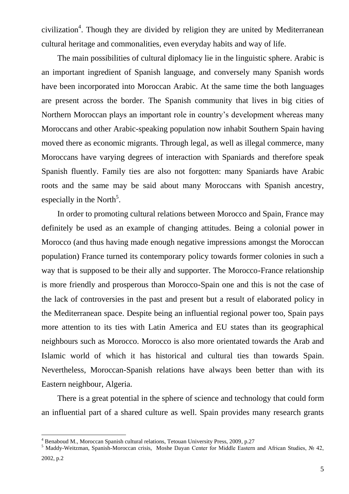civilization<sup>4</sup>. Though they are divided by religion they are united by Mediterranean cultural heritage and commonalities, even everyday habits and way of life.

The main possibilities of cultural diplomacy lie in the linguistic sphere. Arabic is an important ingredient of Spanish language, and conversely many Spanish words have been incorporated into Moroccan Arabic. At the same time the both languages are present across the border. The Spanish community that lives in big cities of Northern Moroccan plays an important role in country"s development whereas many Moroccans and other Arabic-speaking population now inhabit Southern Spain having moved there as economic migrants. Through legal, as well as illegal commerce, many Moroccans have varying degrees of interaction with Spaniards and therefore speak Spanish fluently. Family ties are also not forgotten: many Spaniards have Arabic roots and the same may be said about many Moroccans with Spanish ancestry, especially in the North<sup>5</sup>.

In order to promoting cultural relations between Morocco and Spain, France may definitely be used as an example of changing attitudes. Being a colonial power in Morocco (and thus having made enough negative impressions amongst the Moroccan population) France turned its contemporary policy towards former colonies in such a way that is supposed to be their ally and supporter. The Morocco-France relationship is more friendly and prosperous than Morocco-Spain one and this is not the case of the lack of controversies in the past and present but a result of elaborated policy in the Mediterranean space. Despite being an influential regional power too, Spain pays more attention to its ties with Latin America and EU states than its geographical neighbours such as Morocco. Morocco is also more orientated towards the Arab and Islamic world of which it has historical and cultural ties than towards Spain. Nevertheless, Moroccan-Spanish relations have always been better than with its Eastern neighbour, Algeria.

There is a great potential in the sphere of science and technology that could form an influential part of a shared culture as well. Spain provides many research grants

1

<sup>4</sup> Benaboud M., Moroccan Spanish cultural relations, Tetouan University Press, 2009, p.27

<sup>5</sup> Maddy-Weitzman, Spanish-Moroccan crisis, Moshe Dayan Center for Middle Eastern and African Studies, № 42,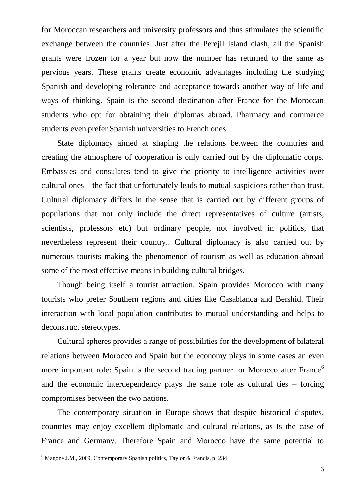for Moroccan researchers and university professors and thus stimulates the scientific exchange between the countries. Just after the Perejil Island clash, all the Spanish grants were frozen for a year but now the number has returned to the same as pervious years. These grants create economic advantages including the studying Spanish and developing tolerance and acceptance towards another way of life and ways of thinking. Spain is the second destination after France for the Moroccan students who opt for obtaining their diplomas abroad. Pharmacy and commerce students even prefer Spanish universities to French ones.

State diplomacy aimed at shaping the relations between the countries and creating the atmosphere of cooperation is only carried out by the diplomatic corps. Embassies and consulates tend to give the priority to intelligence activities over cultural ones – the fact that unfortunately leads to mutual suspicions rather than trust. Cultural diplomacy differs in the sense that is carried out by different groups of populations that not only include the direct representatives of culture (artists, scientists, professors etc) but ordinary people, not involved in politics, that nevertheless represent their country.. Cultural diplomacy is also carried out by numerous tourists making the phenomenon of tourism as well as education abroad some of the most effective means in building cultural bridges.

Though being itself a tourist attraction, Spain provides Morocco with many tourists who prefer Southern regions and cities like Casablanca and Bershid. Their interaction with local population contributes to mutual understanding and helps to deconstruct stereotypes.

Cultural spheres provides a range of possibilities for the development of bilateral relations between Morocco and Spain but the economy plays in some cases an even more important role: Spain is the second trading partner for Morocco after France<sup>6</sup> and the economic interdependency plays the same role as cultural ties – forcing compromises between the two nations.

The contemporary situation in Europe shows that despite historical disputes, countries may enjoy excellent diplomatic and cultural relations, as is the case of France and Germany. Therefore Spain and Morocco have the same potential to

<u>.</u>

<sup>6</sup> Magone J.M., 2009, Contemporary Spanish politics, Taylor & Francis, p. 234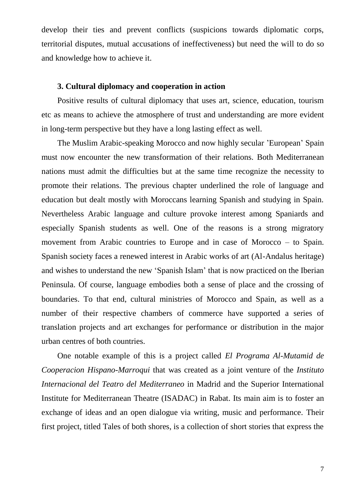develop their ties and prevent conflicts (suspicions towards diplomatic corps, territorial disputes, mutual accusations of ineffectiveness) but need the will to do so and knowledge how to achieve it.

### **3. Cultural diplomacy and cooperation in action**

Positive results of cultural diplomacy that uses art, science, education, tourism etc as means to achieve the atmosphere of trust and understanding are more evident in long-term perspective but they have a long lasting effect as well.

The Muslim Arabic-speaking Morocco and now highly secular "European" Spain must now encounter the new transformation of their relations. Both Mediterranean nations must admit the difficulties but at the same time recognize the necessity to promote their relations. The previous chapter underlined the role of language and education but dealt mostly with Moroccans learning Spanish and studying in Spain. Nevertheless Arabic language and culture provoke interest among Spaniards and especially Spanish students as well. One of the reasons is a strong migratory movement from Arabic countries to Europe and in case of Morocco – to Spain. Spanish society faces a renewed interest in Arabic works of art (Al-Andalus heritage) and wishes to understand the new "Spanish Islam" that is now practiced on the Iberian Peninsula. Of course, language embodies both a sense of place and the crossing of boundaries. To that end, cultural ministries of Morocco and Spain, as well as a number of their respective chambers of commerce have supported a series of translation projects and art exchanges for performance or distribution in the major urban centres of both countries.

One notable example of this is a project called *El Programa Al-Mutamid de Cooperacion Hispano-Marroqui* that was created as a joint venture of the *Instituto Internacional del Teatro del Mediterraneo* in Madrid and the Superior International Institute for Mediterranean Theatre (ISADAC) in Rabat. Its main aim is to foster an exchange of ideas and an open dialogue via writing, music and performance. Their first project, titled Tales of both shores, is a collection of short stories that express the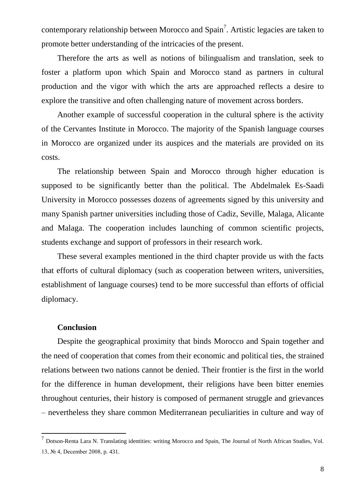contemporary relationship between Morocco and Spain<sup>7</sup>. Artistic legacies are taken to promote better understanding of the intricacies of the present.

Therefore the arts as well as notions of bilingualism and translation, seek to foster a platform upon which Spain and Morocco stand as partners in cultural production and the vigor with which the arts are approached reflects a desire to explore the transitive and often challenging nature of movement across borders.

Another example of successful cooperation in the cultural sphere is the activity of the Cervantes Institute in Morocco. The majority of the Spanish language courses in Morocco are organized under its auspices and the materials are provided on its costs.

The relationship between Spain and Morocco through higher education is supposed to be significantly better than the political. The Abdelmalek Es-Saadi University in Morocco possesses dozens of agreements signed by this university and many Spanish partner universities including those of Cadiz, Seville, Malaga, Alicante and Malaga. The cooperation includes launching of common scientific projects, students exchange and support of professors in their research work.

These several examples mentioned in the third chapter provide us with the facts that efforts of cultural diplomacy (such as cooperation between writers, universities, establishment of language courses) tend to be more successful than efforts of official diplomacy.

#### **Conclusion**

<u>.</u>

Despite the geographical proximity that binds Morocco and Spain together and the need of cooperation that comes from their economic and political ties, the strained relations between two nations cannot be denied. Their frontier is the first in the world for the difference in human development, their religions have been bitter enemies throughout centuries, their history is composed of permanent struggle and grievances – nevertheless they share common Mediterranean peculiarities in culture and way of

<sup>&</sup>lt;sup>7</sup> Dotson-Renta Lara N. Translating identities: writing Morocco and Spain, The Journal of North African Studies, Vol. 13, № 4, December 2008, p. 431.